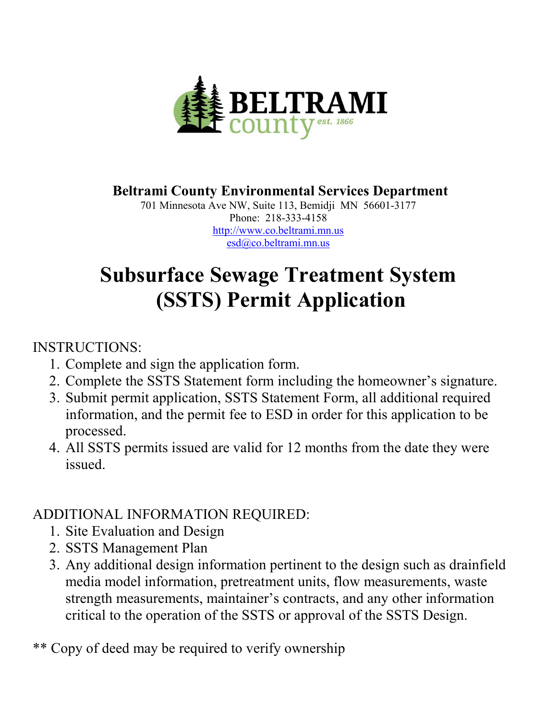

### **Beltrami County Environmental Services Department**

701 Minnesota Ave NW, Suite 113, Bemidji MN 56601-3177 Phone: 218-333-4158 [http://www.co.beltrami.mn.us](http://www.co.beltrami.mn.us/) [esd@co.beltrami.mn.us](mailto:esd@co.beltrami.mn.us)

# **Subsurface Sewage Treatment System (SSTS) Permit Application**

#### INSTRUCTIONS:

- 1. Complete and sign the application form.
- 2. Complete the SSTS Statement form including the homeowner's signature.
- 3. Submit permit application, SSTS Statement Form, all additional required information, and the permit fee to ESD in order for this application to be processed.
- 4. All SSTS permits issued are valid for 12 months from the date they were issued.

### ADDITIONAL INFORMATION REQUIRED:

- 1. Site Evaluation and Design
- 2. SSTS Management Plan
- 3. Any additional design information pertinent to the design such as drainfield media model information, pretreatment units, flow measurements, waste strength measurements, maintainer's contracts, and any other information critical to the operation of the SSTS or approval of the SSTS Design.

### \*\* Copy of deed may be required to verify ownership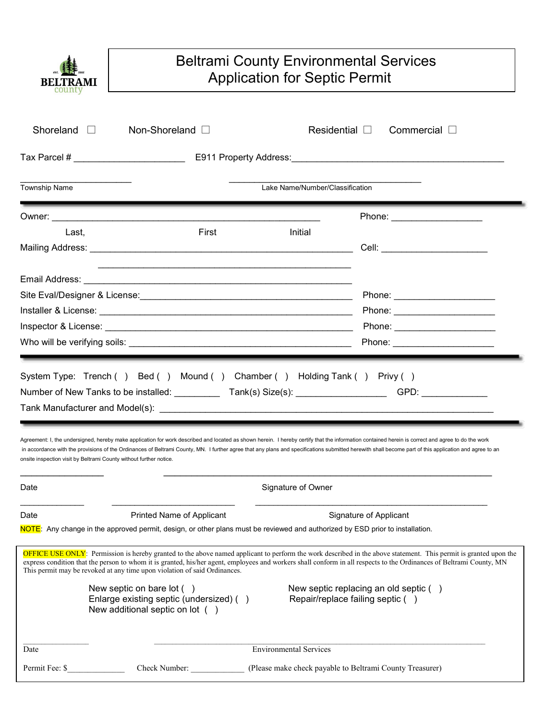

#### Beltrami County Environmental Services Application for Septic Permit

| Shoreland                                               | Non-Shoreland <b>D</b>                                                                                                                                                |                               |                                                                                                                                                                                                                                                                                                                                                                                                             |  |  |  |  |  |
|---------------------------------------------------------|-----------------------------------------------------------------------------------------------------------------------------------------------------------------------|-------------------------------|-------------------------------------------------------------------------------------------------------------------------------------------------------------------------------------------------------------------------------------------------------------------------------------------------------------------------------------------------------------------------------------------------------------|--|--|--|--|--|
|                                                         |                                                                                                                                                                       |                               |                                                                                                                                                                                                                                                                                                                                                                                                             |  |  |  |  |  |
| <b>Township Name</b><br>Lake Name/Number/Classification |                                                                                                                                                                       |                               |                                                                                                                                                                                                                                                                                                                                                                                                             |  |  |  |  |  |
|                                                         |                                                                                                                                                                       |                               | Phone: _____________________                                                                                                                                                                                                                                                                                                                                                                                |  |  |  |  |  |
| Last,                                                   | First                                                                                                                                                                 | Initial                       |                                                                                                                                                                                                                                                                                                                                                                                                             |  |  |  |  |  |
|                                                         |                                                                                                                                                                       |                               | Cell: ____________________________                                                                                                                                                                                                                                                                                                                                                                          |  |  |  |  |  |
|                                                         |                                                                                                                                                                       |                               |                                                                                                                                                                                                                                                                                                                                                                                                             |  |  |  |  |  |
|                                                         |                                                                                                                                                                       |                               | Phone: _________________________                                                                                                                                                                                                                                                                                                                                                                            |  |  |  |  |  |
|                                                         |                                                                                                                                                                       |                               | Phone: _______________________                                                                                                                                                                                                                                                                                                                                                                              |  |  |  |  |  |
|                                                         |                                                                                                                                                                       |                               | Phone: ________________________                                                                                                                                                                                                                                                                                                                                                                             |  |  |  |  |  |
|                                                         |                                                                                                                                                                       |                               | Phone: _________________________                                                                                                                                                                                                                                                                                                                                                                            |  |  |  |  |  |
|                                                         | System Type: Trench () Bed () Mound () Chamber () Holding Tank () Privy ()<br>Number of New Tanks to be installed: _______________Tank(s) Size(s): __________________ |                               | GPD:                                                                                                                                                                                                                                                                                                                                                                                                        |  |  |  |  |  |
|                                                         | onsite inspection visit by Beltrami County without further notice.                                                                                                    |                               | Agreement: I, the undersigned, hereby make application for work described and located as shown herein. I hereby certify that the information contained herein is correct and agree to do the work<br>in accordance with the provisions of the Ordinances of Beltrami County, MN. I further agree that any plans and specifications submitted herewith shall become part of this application and agree to an |  |  |  |  |  |
|                                                         |                                                                                                                                                                       | Signature of Owner            |                                                                                                                                                                                                                                                                                                                                                                                                             |  |  |  |  |  |
|                                                         | Printed Name of Applicant                                                                                                                                             |                               | Signature of Applicant                                                                                                                                                                                                                                                                                                                                                                                      |  |  |  |  |  |
| Date<br>Date                                            | NOTE: Any change in the approved permit, design, or other plans must be reviewed and authorized by ESD prior to installation.                                         |                               |                                                                                                                                                                                                                                                                                                                                                                                                             |  |  |  |  |  |
|                                                         | This permit may be revoked at any time upon violation of said Ordinances.                                                                                             |                               | express condition that the person to whom it is granted, his/her agent, employees and workers shall conform in all respects to the Ordinances of Beltrami County, MN                                                                                                                                                                                                                                        |  |  |  |  |  |
|                                                         | New septic on bare $\left( \quad \right)$<br>Enlarge existing septic (undersized) ()<br>New additional septic on lot $( )$                                            |                               | New septic replacing an old septic ()<br>Repair/replace failing septic ()                                                                                                                                                                                                                                                                                                                                   |  |  |  |  |  |
| Date                                                    |                                                                                                                                                                       | <b>Environmental Services</b> | OFFICE USE ONLY: Permission is hereby granted to the above named applicant to perform the work described in the above statement. This permit is granted upon the                                                                                                                                                                                                                                            |  |  |  |  |  |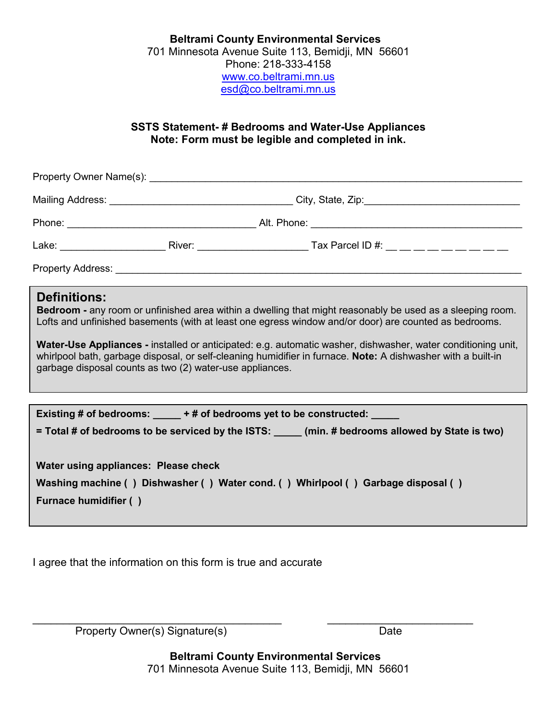#### **Beltrami County Environmental Services** 701 Minnesota Avenue Suite 113, Bemidji, MN 56601 Phone: 218-333-4158 [www.co.beltrami.mn.us](http://www.co.beltrami.mn.us/) [esd@co.beltrami.mn.us](mailto:esd@co.beltrami.mn.us)

#### **SSTS Statement- # Bedrooms and Water-Use Appliances Note: Form must be legible and completed in ink.**

| <b>Definitions:</b><br>Bedroom - any room or unfinished area within a dwelling that might reasonably be used as a sleeping room.<br>Lofts and unfinished basements (with at least one egress window and/or door) are counted as bedrooms.<br>Water-Use Appliances - installed or anticipated: e.g. automatic washer, dishwasher, water conditioning unit,<br>whirlpool bath, garbage disposal, or self-cleaning humidifier in furnace. Note: A dishwasher with a built-in<br>garbage disposal counts as two (2) water-use appliances. |  |  |  |  |  |  |  |  |
|---------------------------------------------------------------------------------------------------------------------------------------------------------------------------------------------------------------------------------------------------------------------------------------------------------------------------------------------------------------------------------------------------------------------------------------------------------------------------------------------------------------------------------------|--|--|--|--|--|--|--|--|
|                                                                                                                                                                                                                                                                                                                                                                                                                                                                                                                                       |  |  |  |  |  |  |  |  |
| Existing # of bedrooms: _____ + # of bedrooms yet to be constructed:<br>= Total # of bedrooms to be serviced by the ISTS: ____ (min. # bedrooms allowed by State is two)                                                                                                                                                                                                                                                                                                                                                              |  |  |  |  |  |  |  |  |
| Water using appliances: Please check<br>Washing machine () Dishwasher () Water cond. () Whirlpool () Garbage disposal ()<br><b>Furnace humidifier ()</b>                                                                                                                                                                                                                                                                                                                                                                              |  |  |  |  |  |  |  |  |

I agree that the information on this form is true and accurate

Property Owner(s) Signature(s) Date

 **Beltrami County Environmental Services** 701 Minnesota Avenue Suite 113, Bemidji, MN 56601

\_\_\_\_\_\_\_\_\_\_\_\_\_\_\_\_\_\_\_\_\_\_\_\_\_\_\_\_\_\_\_\_\_\_\_\_\_\_\_\_\_ \_\_\_\_\_\_\_\_\_\_\_\_\_\_\_\_\_\_\_\_\_\_\_\_